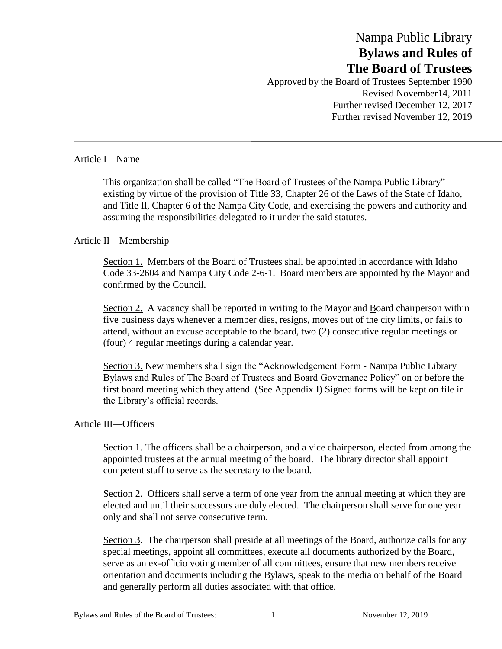# Nampa Public Library **Bylaws and Rules of The Board of Trustees**

Approved by the Board of Trustees September 1990 Revised November14, 2011 Further revised December 12, 2017 Further revised November 12, 2019

#### Article I—Name

This organization shall be called "The Board of Trustees of the Nampa Public Library" existing by virtue of the provision of Title 33, Chapter 26 of the Laws of the State of Idaho, and Title II, Chapter 6 of the Nampa City Code, and exercising the powers and authority and assuming the responsibilities delegated to it under the said statutes.

### Article II—Membership

Section 1. Members of the Board of Trustees shall be appointed in accordance with Idaho Code 33-2604 and Nampa City Code 2-6-1. Board members are appointed by the Mayor and confirmed by the Council.

Section 2. A vacancy shall be reported in writing to the Mayor and Board chairperson within five business days whenever a member dies, resigns, moves out of the city limits, or fails to attend, without an excuse acceptable to the board, two (2) consecutive regular meetings or (four) 4 regular meetings during a calendar year.

Section 3. New members shall sign the "Acknowledgement Form - Nampa Public Library Bylaws and Rules of The Board of Trustees and Board Governance Policy" on or before the first board meeting which they attend. (See Appendix I) Signed forms will be kept on file in the Library's official records.

#### Article III—Officers

Section 1. The officers shall be a chairperson, and a vice chairperson, elected from among the appointed trustees at the annual meeting of the board. The library director shall appoint competent staff to serve as the secretary to the board.

Section 2. Officers shall serve a term of one year from the annual meeting at which they are elected and until their successors are duly elected. The chairperson shall serve for one year only and shall not serve consecutive term.

Section 3. The chairperson shall preside at all meetings of the Board, authorize calls for any special meetings, appoint all committees, execute all documents authorized by the Board, serve as an ex-officio voting member of all committees, ensure that new members receive orientation and documents including the Bylaws, speak to the media on behalf of the Board and generally perform all duties associated with that office.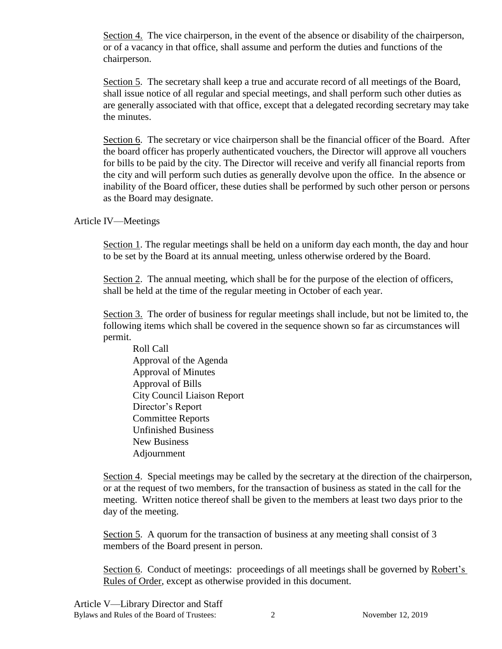Section 4. The vice chairperson, in the event of the absence or disability of the chairperson, or of a vacancy in that office, shall assume and perform the duties and functions of the chairperson.

Section 5. The secretary shall keep a true and accurate record of all meetings of the Board, shall issue notice of all regular and special meetings, and shall perform such other duties as are generally associated with that office, except that a delegated recording secretary may take the minutes.

Section 6. The secretary or vice chairperson shall be the financial officer of the Board. After the board officer has properly authenticated vouchers, the Director will approve all vouchers for bills to be paid by the city. The Director will receive and verify all financial reports from the city and will perform such duties as generally devolve upon the office. In the absence or inability of the Board officer, these duties shall be performed by such other person or persons as the Board may designate.

Article IV—Meetings

Section 1. The regular meetings shall be held on a uniform day each month, the day and hour to be set by the Board at its annual meeting, unless otherwise ordered by the Board.

Section 2. The annual meeting, which shall be for the purpose of the election of officers, shall be held at the time of the regular meeting in October of each year.

Section 3. The order of business for regular meetings shall include, but not be limited to, the following items which shall be covered in the sequence shown so far as circumstances will permit.

Roll Call Approval of the Agenda Approval of Minutes Approval of Bills City Council Liaison Report Director's Report Committee Reports Unfinished Business New Business Adjournment

Section 4. Special meetings may be called by the secretary at the direction of the chairperson, or at the request of two members, for the transaction of business as stated in the call for the meeting. Written notice thereof shall be given to the members at least two days prior to the day of the meeting.

Section 5. A quorum for the transaction of business at any meeting shall consist of 3 members of the Board present in person.

Section 6. Conduct of meetings: proceedings of all meetings shall be governed by Robert's Rules of Order, except as otherwise provided in this document.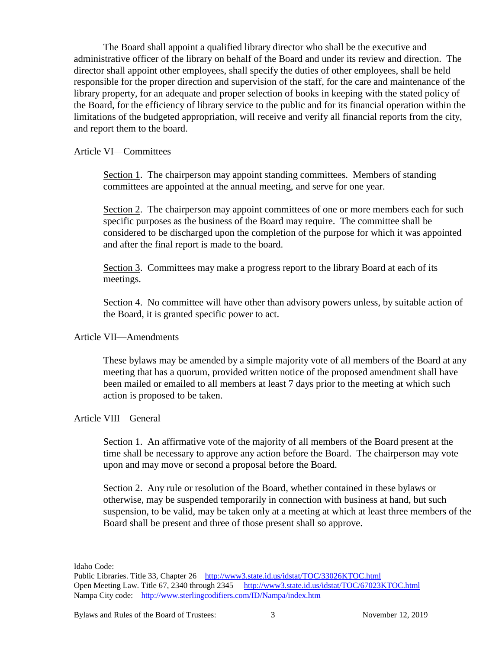The Board shall appoint a qualified library director who shall be the executive and administrative officer of the library on behalf of the Board and under its review and direction. The director shall appoint other employees, shall specify the duties of other employees, shall be held responsible for the proper direction and supervision of the staff, for the care and maintenance of the library property, for an adequate and proper selection of books in keeping with the stated policy of the Board, for the efficiency of library service to the public and for its financial operation within the limitations of the budgeted appropriation, will receive and verify all financial reports from the city, and report them to the board.

#### Article VI—Committees

Section 1. The chairperson may appoint standing committees. Members of standing committees are appointed at the annual meeting, and serve for one year.

Section 2. The chairperson may appoint committees of one or more members each for such specific purposes as the business of the Board may require. The committee shall be considered to be discharged upon the completion of the purpose for which it was appointed and after the final report is made to the board.

Section 3. Committees may make a progress report to the library Board at each of its meetings.

Section 4. No committee will have other than advisory powers unless, by suitable action of the Board, it is granted specific power to act.

#### Article VII—Amendments

These bylaws may be amended by a simple majority vote of all members of the Board at any meeting that has a quorum, provided written notice of the proposed amendment shall have been mailed or emailed to all members at least 7 days prior to the meeting at which such action is proposed to be taken.

## Article VIII—General

Section 1. An affirmative vote of the majority of all members of the Board present at the time shall be necessary to approve any action before the Board. The chairperson may vote upon and may move or second a proposal before the Board.

Section 2. Any rule or resolution of the Board, whether contained in these bylaws or otherwise, may be suspended temporarily in connection with business at hand, but such suspension, to be valid, may be taken only at a meeting at which at least three members of the Board shall be present and three of those present shall so approve.

Idaho Code:

Public Libraries. Title 33, Chapter 26 <http://www3.state.id.us/idstat/TOC/33026KTOC.html> Open Meeting Law. Title 67, 2340 through 2345 <http://www3.state.id.us/idstat/TOC/67023KTOC.html> Nampa City code: <http://www.sterlingcodifiers.com/ID/Nampa/index.htm>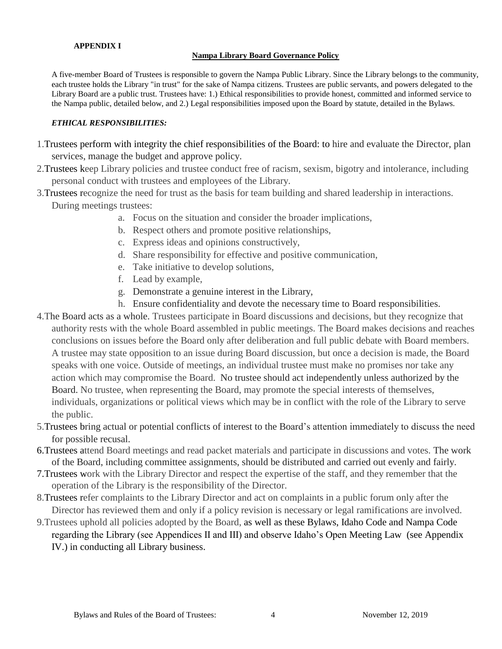#### **APPENDIX I**

#### **Nampa Library Board Governance Policy**

A five-member Board of Trustees is responsible to govern the Nampa Public Library. Since the Library belongs to the community, each trustee holds the Library "in trust" for the sake of Nampa citizens. Trustees are public servants, and powers delegated to the Library Board are a public trust. Trustees have: 1.) Ethical responsibilities to provide honest, committed and informed service to the Nampa public, detailed below, and 2.) Legal responsibilities imposed upon the Board by statute, detailed in the Bylaws.

#### *ETHICAL RESPONSIBILITIES:*

- 1.Trustees perform with integrity the chief responsibilities of the Board: to hire and evaluate the Director, plan services, manage the budget and approve policy.
- 2.Trustees keep Library policies and trustee conduct free of racism, sexism, bigotry and intolerance, including personal conduct with trustees and employees of the Library.
- 3.Trustees recognize the need for trust as the basis for team building and shared leadership in interactions. During meetings trustees:
	- a. Focus on the situation and consider the broader implications,
	- b. Respect others and promote positive relationships,
	- c. Express ideas and opinions constructively,
	- d. Share responsibility for effective and positive communication,
	- e. Take initiative to develop solutions,
	- f. Lead by example,
	- g. Demonstrate a genuine interest in the Library,
	- h. Ensure confidentiality and devote the necessary time to Board responsibilities.
- 4.The Board acts as a whole. Trustees participate in Board discussions and decisions, but they recognize that authority rests with the whole Board assembled in public meetings. The Board makes decisions and reaches conclusions on issues before the Board only after deliberation and full public debate with Board members. A trustee may state opposition to an issue during Board discussion, but once a decision is made, the Board speaks with one voice. Outside of meetings, an individual trustee must make no promises nor take any action which may compromise the Board. No trustee should act independently unless authorized by the Board. No trustee, when representing the Board, may promote the special interests of themselves, individuals, organizations or political views which may be in conflict with the role of the Library to serve the public.
- 5.Trustees bring actual or potential conflicts of interest to the Board's attention immediately to discuss the need for possible recusal.
- 6.Trustees attend Board meetings and read packet materials and participate in discussions and votes. The work of the Board, including committee assignments, should be distributed and carried out evenly and fairly.
- 7.Trustees work with the Library Director and respect the expertise of the staff, and they remember that the operation of the Library is the responsibility of the Director.
- 8.Trustees refer complaints to the Library Director and act on complaints in a public forum only after the Director has reviewed them and only if a policy revision is necessary or legal ramifications are involved.
- 9.Trustees uphold all policies adopted by the Board, as well as these Bylaws, Idaho Code and Nampa Code regarding the Library (see Appendices II and III) and observe Idaho's Open Meeting Law (see Appendix IV.) in conducting all Library business.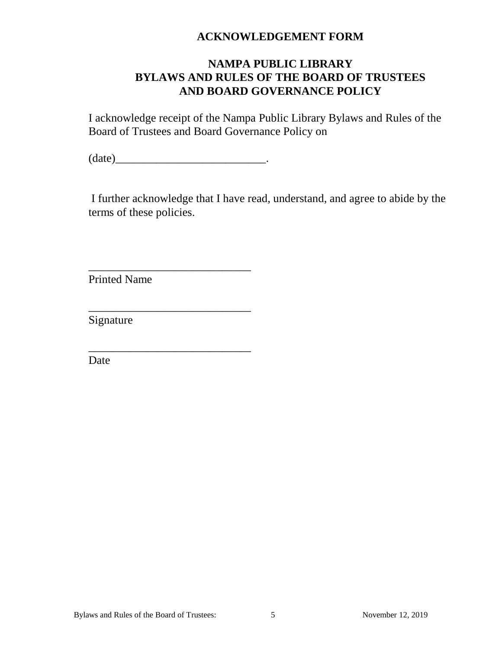# **ACKNOWLEDGEMENT FORM**

# **NAMPA PUBLIC LIBRARY BYLAWS AND RULES OF THE BOARD OF TRUSTEES AND BOARD GOVERNANCE POLICY**

I acknowledge receipt of the Nampa Public Library Bylaws and Rules of the Board of Trustees and Board Governance Policy on

(date)\_\_\_\_\_\_\_\_\_\_\_\_\_\_\_\_\_\_\_\_\_\_\_\_\_\_.

\_\_\_\_\_\_\_\_\_\_\_\_\_\_\_\_\_\_\_\_\_\_\_\_\_\_\_\_

\_\_\_\_\_\_\_\_\_\_\_\_\_\_\_\_\_\_\_\_\_\_\_\_\_\_\_\_

\_\_\_\_\_\_\_\_\_\_\_\_\_\_\_\_\_\_\_\_\_\_\_\_\_\_\_\_

I further acknowledge that I have read, understand, and agree to abide by the terms of these policies.

Printed Name

Signature

Date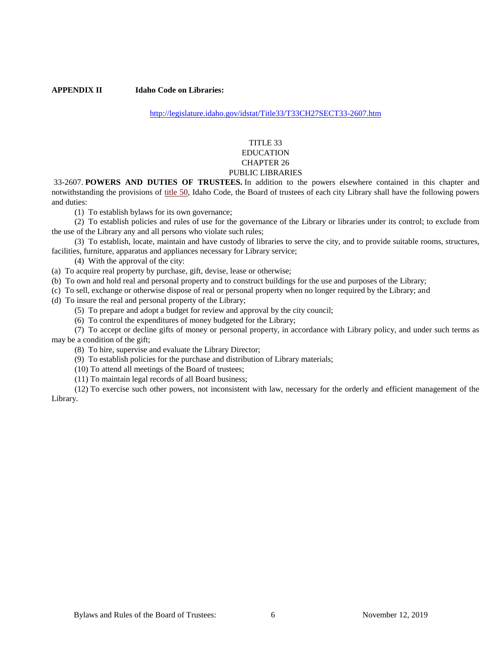**APPENDIX II Idaho Code on Libraries:** 

<http://legislature.idaho.gov/idstat/Title33/T33CH27SECT33-2607.htm>

#### TITLE 33 EDUCATION CHAPTER 26 PUBLIC LIBRARIES

33-2607. **POWERS AND DUTIES OF TRUSTEES.** In addition to the powers elsewhere contained in this chapter and notwithstanding the provisions of [title 50,](http://legislature.idaho.gov/idstat/Title50/T50.htm) Idaho Code, the Board of trustees of each city Library shall have the following powers and duties:

(1) To establish bylaws for its own governance;

(2) To establish policies and rules of use for the governance of the Library or libraries under its control; to exclude from the use of the Library any and all persons who violate such rules;

(3) To establish, locate, maintain and have custody of libraries to serve the city, and to provide suitable rooms, structures, facilities, furniture, apparatus and appliances necessary for Library service;

(4) With the approval of the city:

(a) To acquire real property by purchase, gift, devise, lease or otherwise;

(b) To own and hold real and personal property and to construct buildings for the use and purposes of the Library;

(c) To sell, exchange or otherwise dispose of real or personal property when no longer required by the Library; and

(d) To insure the real and personal property of the Library;

(5) To prepare and adopt a budget for review and approval by the city council;

(6) To control the expenditures of money budgeted for the Library;

(7) To accept or decline gifts of money or personal property, in accordance with Library policy, and under such terms as may be a condition of the gift;

(8) To hire, supervise and evaluate the Library Director;

(9) To establish policies for the purchase and distribution of Library materials;

(10) To attend all meetings of the Board of trustees;

(11) To maintain legal records of all Board business;

(12) To exercise such other powers, not inconsistent with law, necessary for the orderly and efficient management of the Library.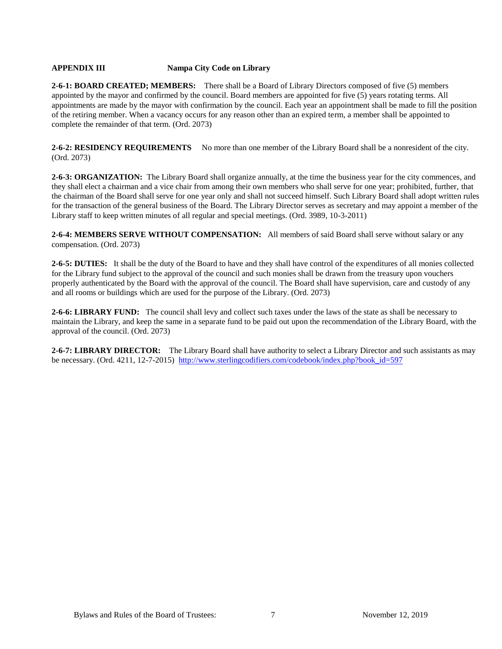#### **APPENDIX III Nampa City Code on Library**

**2-6-1: BOARD CREATED; MEMBERS:** There shall be a Board of Library Directors composed of five (5) members appointed by the mayor and confirmed by the council. Board members are appointed for five (5) years rotating terms. All appointments are made by the mayor with confirmation by the council. Each year an appointment shall be made to fill the position of the retiring member. When a vacancy occurs for any reason other than an expired term, a member shall be appointed to complete the remainder of that term. (Ord. 2073)

2-6-2: RESIDENCY REQUIREMENTS No more than one member of the Library Board shall be a nonresident of the city. (Ord. 2073)

**2-6-3: ORGANIZATION:** The Library Board shall organize annually, at the time the business year for the city commences, and they shall elect a chairman and a vice chair from among their own members who shall serve for one year; prohibited, further, that the chairman of the Board shall serve for one year only and shall not succeed himself. Such Library Board shall adopt written rules for the transaction of the general business of the Board. The Library Director serves as secretary and may appoint a member of the Library staff to keep written minutes of all regular and special meetings. (Ord. 3989, 10-3-2011)

**2-6-4: MEMBERS SERVE WITHOUT COMPENSATION:** All members of said Board shall serve without salary or any compensation. (Ord. 2073)

**2-6-5: DUTIES:** It shall be the duty of the Board to have and they shall have control of the expenditures of all monies collected for the Library fund subject to the approval of the council and such monies shall be drawn from the treasury upon vouchers properly authenticated by the Board with the approval of the council. The Board shall have supervision, care and custody of any and all rooms or buildings which are used for the purpose of the Library. (Ord. 2073)

**2-6-6: LIBRARY FUND:** The council shall levy and collect such taxes under the laws of the state as shall be necessary to maintain the Library, and keep the same in a separate fund to be paid out upon the recommendation of the Library Board, with the approval of the council. (Ord. 2073)

**2-6-7: LIBRARY DIRECTOR:** The Library Board shall have authority to select a Library Director and such assistants as may be necessary. (Ord. 4211, 12-7-2015) [http://www.sterlingcodifiers.com/codebook/index.php?book\\_id=597](http://www.sterlingcodifiers.com/codebook/index.php?book_id=597)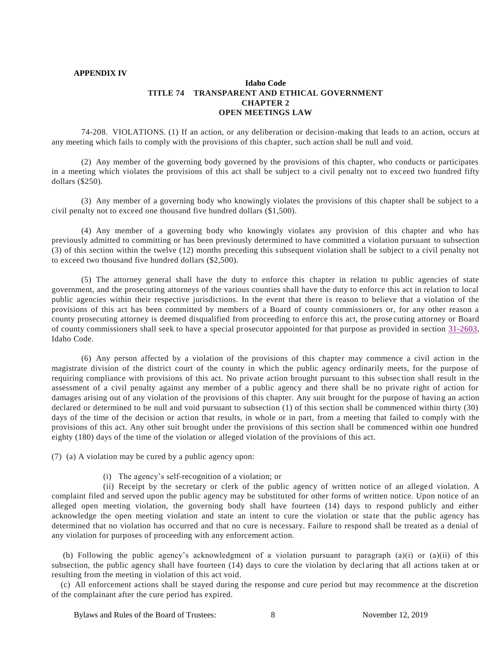#### **APPENDIX IV**

#### **Idaho Code TITLE 74 TRANSPARENT AND ETHICAL GOVERNMENT CHAPTER 2 OPEN MEETINGS LAW**

74-208. VIOLATIONS. (1) If an action, or any deliberation or decision-making that leads to an action, occurs at any meeting which fails to comply with the provisions of this chapter, such action shall be null and void.

(2) Any member of the governing body governed by the provisions of this chapter, who conducts or participates in a meeting which violates the provisions of this act shall be subject to a civil penalty not to exceed two hundred fifty dollars (\$250).

(3) Any member of a governing body who knowingly violates the provisions of this chapter shall be subject to a civil penalty not to exceed one thousand five hundred dollars (\$1,500).

(4) Any member of a governing body who knowingly violates any provision of this chapter and who has previously admitted to committing or has been previously determined to have committed a violation pursuant to subsection (3) of this section within the twelve (12) months preceding this subsequent violation shall be subject to a civil penalty not to exceed two thousand five hundred dollars (\$2,500).

(5) The attorney general shall have the duty to enforce this chapter in relation to public agencies of state government, and the prosecuting attorneys of the various counties shall have the duty to enforce this act in relation to local public agencies within their respective jurisdictions. In the event that there is reason to believe that a violation of the provisions of this act has been committed by members of a Board of county commissioners or, for any other reason a county prosecuting attorney is deemed disqualified from proceeding to enforce this act, the prose cuting attorney or Board of county commissioners shall seek to have a special prosecutor appointed for that purpose as provided in section [31-2603,](https://legislature.search.idaho.gov/statutesrules/idstat/Title31/T31CH26/SECT31-2603) Idaho Code.

(6) Any person affected by a violation of the provisions of this chapter may commence a civil action in the magistrate division of the district court of the county in which the public agency ordinarily meets, for the purpose of requiring compliance with provisions of this act. No private action brought pursuant to this subsec tion shall result in the assessment of a civil penalty against any member of a public agency and there shall be no private right of action for damages arising out of any violation of the provisions of this chapter. Any suit brought for the purpose of having an action declared or determined to be null and void pursuant to subsection (1) of this section shall be commenced within thirty (30) days of the time of the decision or action that results, in whole or in part, from a meeting that failed to comply with the provisions of this act. Any other suit brought under the provisions of this section shall be commenced within one hundred eighty (180) days of the time of the violation or alleged violation of the provisions of this act.

(7) (a) A violation may be cured by a public agency upon:

(i) The agency's self-recognition of a violation; or

(ii) Receipt by the secretary or clerk of the public agency of written notice of an alleged violation. A complaint filed and served upon the public agency may be substituted for other forms of written notice. Upon notice of an alleged open meeting violation, the governing body shall have fourteen (14) days to respond publicly and either acknowledge the open meeting violation and state an intent to cure the violation or state that the public agency has determined that no violation has occurred and that no cure is necessary. Failure to respond shall be treated as a denial of any violation for purposes of proceeding with any enforcement action.

 (b) Following the public agency's acknowledgment of a violation pursuant to paragraph (a)(i) or (a)(ii) of this subsection, the public agency shall have fourteen (14) days to cure the violation by decl aring that all actions taken at or resulting from the meeting in violation of this act void.

 (c) All enforcement actions shall be stayed during the response and cure period but may recommence at the discretion of the complainant after the cure period has expired.

Bylaws and Rules of the Board of Trustees: 8 November 12, 2019